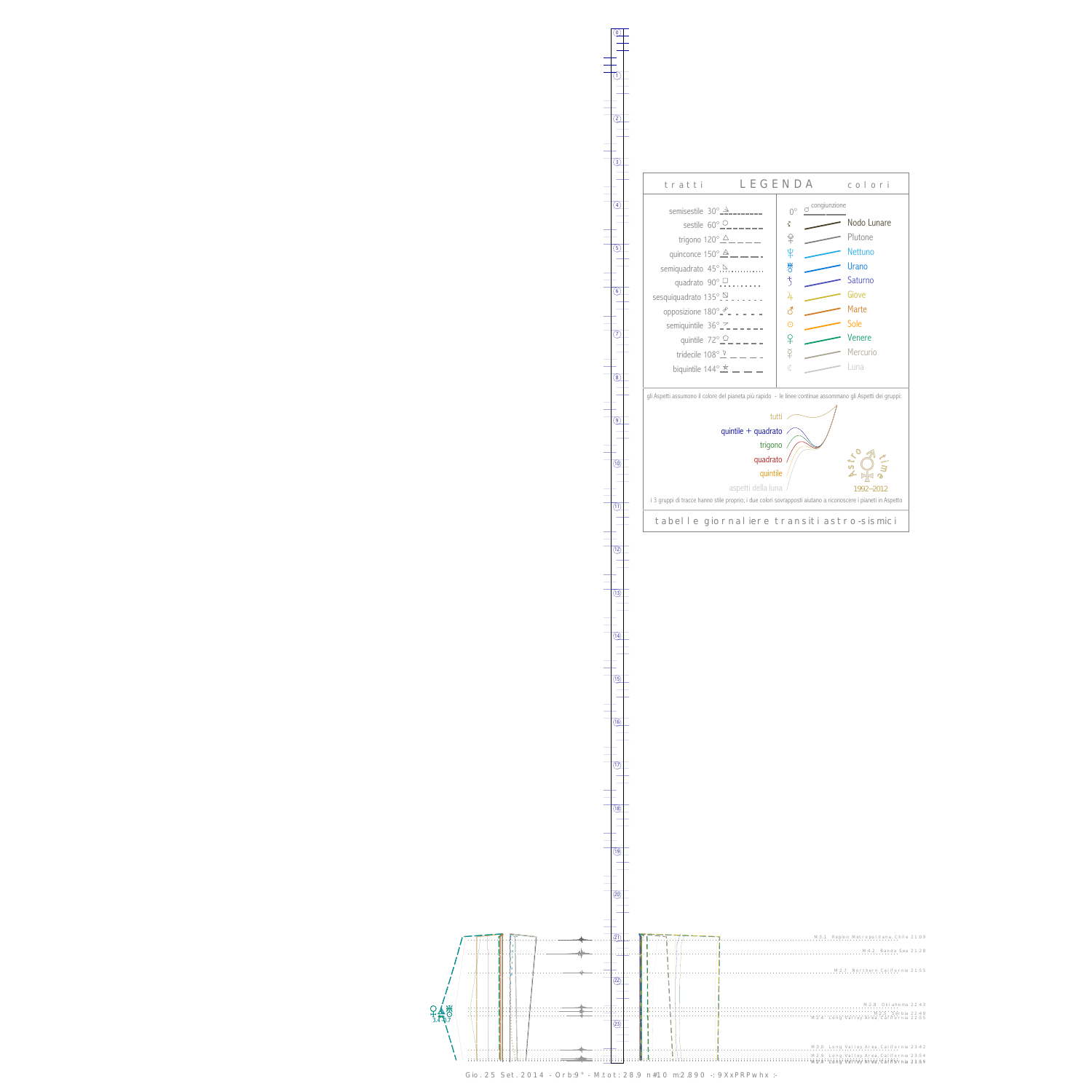$\c{P}_4$  $\frac{1}{3.4}$